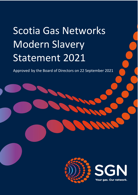# Scotia Gas Networks Modern Slavery Statement 2021

Approved by the Board of Directors on 22 September 2021

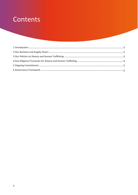## Contents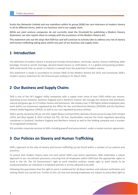**Scotia Gas Networks Limited and any subsidiary within its group (SGN) has zero tolerance of modern slavery in all its different forms, both in our business and in our supply chain.** 

**While our joint venture companies do not currently meet the threshold for publishing a Modern Slavery Statement, we also require them to comply with the provisions of the Modern Slavery Act.**

**This statement sets out the steps that SGN has and will continue to actively take to address any risk of slavery and human trafficking taking place within any part of our business and supply chain.** 

#### **1 Introduction**

The definition of modern slavery is broad and includes forced labour, servitude, slavery, human trafficking, debt bondage, forced or servile marriage, descent-based slavery or child labour. It is a global and growing problem. SGN understands that no sector or industry is exempt from the potential of modern slavery.

This statement is made in accordance to section 54(6) of the Modern Slavery Act 2015 and constitutes SGN's modern slavery statement for the financial year ending on 31 March 2021.

#### **2 Our Business and Supply Chains**

SGN is one of the UK's biggest utility companies with a supply chain value of over £500 million per annum, operating across Scotland, Southern England and in Northern Ireland. We manage the network that distributes natural and green gas to 5.9 million homes and businesses. We employ over 3,700 highly skilled employees who work within our businesses regulated by the Office for Gas and Electricity Markets (OFGEM) and the Northern Ireland Utility Regulator (UREG), as well as our non-regulated business entities.

SGN is jointly owned by SSE plc (33.3%), Apple Newco Limited (25%), Borealis Infrastructure Europe (UK) Limited (25%) and Blue Spyder B 2016 Limited (16.7%). All four shareholders oversee the three regulated operating companies in Scotland, Southern England and Northern Ireland as well as the holding company and a number of unregulated companies.

SSE provides corporate services to SGN, including payroll and procurement, under a master services agreement.

#### **3 Our Policies on Slavery and Human Trafficking**

SGN's approach to the risks of slavery and human trafficking can be found within a number of our policies and practices.

To ensure that modern slavery does not exist within SGN's own direct operations, SGN undertakes a robust approach in our recruitment processes, ensuring that all employees within SGN have the appropriate rights to work in the UK. The UK Government's right to work checklist outlines simple right to work checks to be conducted before an individual is employed and this is strictly adhered to by SGN.

Following this guarantees that the right to work is evidenced for all direct workers and relevant verification and vetting checks are carried out. Further to this, all new and existing employees are subject to prescribed right to

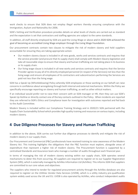work checks to ensure that SGN does not employ illegal workers thereby ensuring compliance with the Immigration, Asylum and Nationality Act 2006.

SGN's Vetting and Verification procedure provides details on what levels of checks are carried out as standard and the expectation is set that contractors and staffing agencies are subject to the same standards.

In addition, all staff directly employed by SGN are paid the Living Wage or above and in 2020 SGN achieved the goal of becoming an accredited Living Wage employer through the Living Wage Foundation.

Our procurement contracts contain two clauses to mitigate the risk of modern slavery and hold suppliers accountable for ensuring they are taking appropriate action:

- Our modern slavery clause is included in all new goods, works and services contracts and requires that the service provider (and procure that its supply chain) shall comply with Modern Slavery legislation and take all reasonable steps to ensure that slavery and human trafficking are not taking place in its business or its supply chain.
- Our living wage clause is included in all new works and services contracts and requires that the Service Provider agrees to pay all of its directly employed personnel (in respect of the Services) not less than the living wage and ensure all employees of its contractors and subcontractors performing the Services are paid not less than the living wage.

SGN has a Speak Up (Whistleblowing) Policy whereby SGN employees or those working on our behalf can raise concerns in confidence about wrongdoing through both internal and external mechanisms. Within the Policy we specifically encourage reporting on slavery and human trafficking, as well as other ethical matters.

If an individual would prefer not to raise their concern with an SGN manager or HR, then they can use SGN's Speak Up Hotline or directly contact one of the key contacts outlined in the Policy. When incidents are reported they are referred to SGN's Ethics and Compliance team for investigation with outcomes reported and fed back to the Audit Committee.

Modern Slavery is included within our Compliance Training Strategy and in 2020/21 SGN partnered with the Supply Chain Sustainability School which provides high quality training and resources on various topics, including modern slavery.

### **4 Due Diligence Processes for Slavery and Human Trafficking**

In addition to the above, SGN carries out further due diligence processes to identify and mitigate the risk of modern slavery in our supply chain.

Our Procurement and Commercial (P&C) professionals have received training to raise awareness of the Modern Slavery Act. This training highlights the obligations that the P&C function must explore, alongside areas of expenditure that represent a higher risk of modern slavery. The Procurement function is supported by a centralised Standards and Assurance team who manage a number of audits throughout each financial year.

In terms of managing the risk of modern slavery existing within our supply chain, SGN operates several mechanisms to deter this from occurring. All suppliers are required to register on to our Supplier Registration System (SRS), which is externally managed by Achilles Information Ltd (Achilles). This informs SGN that suppliers are committed to our core values and objectives.

The suppliers who intend to tender for regulated procurement activity through the Achilles database are also required to register on the Utilities Vendor Data Services (UVDB), which is a utility industry pre-qualification system widely used across the UK and EU. UVDB is also operated by Achilles, who conduct independent audits

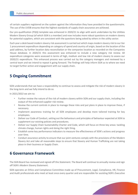of certain suppliers registered on the system against the information they have provided in the questionnaire. The use of the UVDB ensures that the highest standards of supply chain assurance are achieved.

Our pre-qualification (PQQ) template was enhanced in 2020/21 to align with work undertaken by the Utilities Modern Slavery Group (of which SGN is a member) and now includes more robust questions on modern slavery for potential suppliers, which are consistent with the questions being asked by others in the utility sector.

Each year a desk based modern slavery risk assessment is carried out which maps modern slavery risk to our tier 1 procurement expenditure depending on category of spend and country of origin, based on the location of the paid address, by further location data reconciliation or the companies location as recorded on the Companies House database. In 2020/21 this assessment was enhanced to include a new category risk review. All expenditure categories were assessed in terms of high, medium and low risk of modern slavery to assess our 2020/21 expenditure. This enhanced process was carried out by the category managers and reviewed by a central team and we intend to repeat it going forward. The findings will help inform SGN as to where we need to target further action and engagement with our supply chain.

### **5 Ongoing Commitment**

SGN understands that we have a responsibility to continue to assess and mitigate the risk of modern slavery in the long-term and we fully intend to do so.

In 2021/2022 we aim to:

- Further review the nature of the risk of modern slavery within SGN and our supply chain, including the output of the enhanced supplier risk review.
- Review the current controls in place to manage these risks and put plans in place to improve these, if necessary.
- Implement awareness training for all SGN employees and develop more tailored training for key employees.
- Deliver our Code of Conduct, setting out the behaviours and principles of behaviour expected at SGN to supplement our existing policies and procedures.
- Deliver our Supply Chain Sustainability Charter and Code, which will focus on three key areas: tackling climate change, human rights and doing the right thing.
- Establish some key performance indicators to measure the effectiveness of SGN's actions and progress over time.
- Conduct assurance activity to ensure that our joint ventures comply with the provisions of the Modern Slavery Act and take all reasonable steps to ensure that Slavery and Human Trafficking are not taking place in their business or Supply Chain.

#### **6 Governance Framework**

The SGN Board has reviewed and signed off this Statement. The Board will continue to annually review and sign off SGN's Modern Slavery Statement.

SGN operates an Ethics and Compliance Committee made up of Procurement, Legal, Compliance, HR, Finance and Audit professionals who meet at least once every quarter and are responsible for assisting SGN's Executive